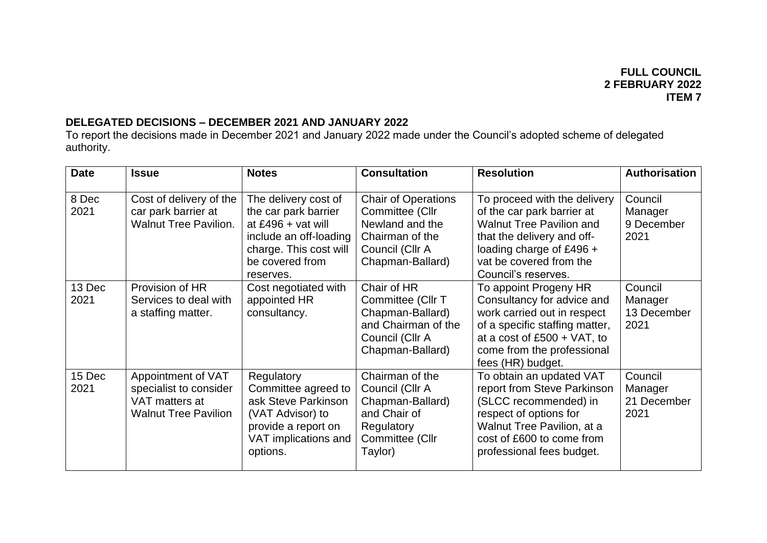## **DELEGATED DECISIONS – DECEMBER 2021 AND JANUARY 2022**

To report the decisions made in December 2021 and January 2022 made under the Council's adopted scheme of delegated authority.

| <b>Date</b>    | <b>Issue</b>                                                                                  | <b>Notes</b>                                                                                                                                           | <b>Consultation</b>                                                                                                        | <b>Resolution</b>                                                                                                                                                                                         | <b>Authorisation</b>                      |
|----------------|-----------------------------------------------------------------------------------------------|--------------------------------------------------------------------------------------------------------------------------------------------------------|----------------------------------------------------------------------------------------------------------------------------|-----------------------------------------------------------------------------------------------------------------------------------------------------------------------------------------------------------|-------------------------------------------|
| 8 Dec<br>2021  | Cost of delivery of the<br>car park barrier at<br><b>Walnut Tree Pavilion.</b>                | The delivery cost of<br>the car park barrier<br>at £496 + vat will<br>include an off-loading<br>charge. This cost will<br>be covered from<br>reserves. | <b>Chair of Operations</b><br>Committee (Cllr<br>Newland and the<br>Chairman of the<br>Council (Cllr A<br>Chapman-Ballard) | To proceed with the delivery<br>of the car park barrier at<br><b>Walnut Tree Pavilion and</b><br>that the delivery and off-<br>loading charge of £496 +<br>vat be covered from the<br>Council's reserves. | Council<br>Manager<br>9 December<br>2021  |
| 13 Dec<br>2021 | Provision of HR<br>Services to deal with<br>a staffing matter.                                | Cost negotiated with<br>appointed HR<br>consultancy.                                                                                                   | Chair of HR<br>Committee (Cllr T<br>Chapman-Ballard)<br>and Chairman of the<br>Council (Cllr A<br>Chapman-Ballard)         | To appoint Progeny HR<br>Consultancy for advice and<br>work carried out in respect<br>of a specific staffing matter,<br>at a cost of $£500 + VAT$ , to<br>come from the professional<br>fees (HR) budget. | Council<br>Manager<br>13 December<br>2021 |
| 15 Dec<br>2021 | Appointment of VAT<br>specialist to consider<br>VAT matters at<br><b>Walnut Tree Pavilion</b> | Regulatory<br>Committee agreed to<br>ask Steve Parkinson<br>(VAT Advisor) to<br>provide a report on<br>VAT implications and<br>options.                | Chairman of the<br>Council (Cllr A<br>Chapman-Ballard)<br>and Chair of<br>Regulatory<br>Committee (Cllr<br>Taylor)         | To obtain an updated VAT<br>report from Steve Parkinson<br>(SLCC recommended) in<br>respect of options for<br>Walnut Tree Pavilion, at a<br>cost of £600 to come from<br>professional fees budget.        | Council<br>Manager<br>21 December<br>2021 |